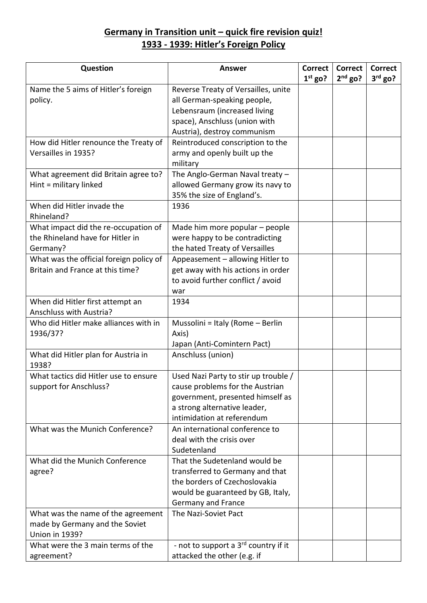## **Germany in Transition unit – quick fire revision quiz! 1933 - 1939: Hitler's Foreign Policy**

| Question                                | <b>Answer</b>                                    | <b>Correct</b> | Correct   | <b>Correct</b> |
|-----------------------------------------|--------------------------------------------------|----------------|-----------|----------------|
|                                         |                                                  | $1st$ go?      | $2nd$ go? | $3rd$ go?      |
| Name the 5 aims of Hitler's foreign     | Reverse Treaty of Versailles, unite              |                |           |                |
| policy.                                 | all German-speaking people,                      |                |           |                |
|                                         | Lebensraum (increased living                     |                |           |                |
|                                         | space), Anschluss (union with                    |                |           |                |
|                                         | Austria), destroy communism                      |                |           |                |
| How did Hitler renounce the Treaty of   | Reintroduced conscription to the                 |                |           |                |
| Versailles in 1935?                     | army and openly built up the                     |                |           |                |
|                                         | military                                         |                |           |                |
| What agreement did Britain agree to?    | The Anglo-German Naval treaty $-$                |                |           |                |
| Hint = military linked                  | allowed Germany grow its navy to                 |                |           |                |
|                                         | 35% the size of England's.                       |                |           |                |
| When did Hitler invade the              | 1936                                             |                |           |                |
| Rhineland?                              |                                                  |                |           |                |
| What impact did the re-occupation of    | Made him more popular – people                   |                |           |                |
| the Rhineland have for Hitler in        | were happy to be contradicting                   |                |           |                |
| Germany?                                | the hated Treaty of Versailles                   |                |           |                |
| What was the official foreign policy of | Appeasement - allowing Hitler to                 |                |           |                |
| Britain and France at this time?        | get away with his actions in order               |                |           |                |
|                                         | to avoid further conflict / avoid                |                |           |                |
|                                         | war                                              |                |           |                |
| When did Hitler first attempt an        | 1934                                             |                |           |                |
| Anschluss with Austria?                 |                                                  |                |           |                |
| Who did Hitler make alliances with in   | Mussolini = Italy (Rome - Berlin                 |                |           |                |
| 1936/37?                                | Axis)                                            |                |           |                |
|                                         | Japan (Anti-Comintern Pact)                      |                |           |                |
| What did Hitler plan for Austria in     | Anschluss (union)                                |                |           |                |
| 1938?                                   |                                                  |                |           |                |
| What tactics did Hitler use to ensure   | Used Nazi Party to stir up trouble /             |                |           |                |
| support for Anschluss?                  | cause problems for the Austrian                  |                |           |                |
|                                         | government, presented himself as                 |                |           |                |
|                                         | a strong alternative leader,                     |                |           |                |
|                                         | intimidation at referendum                       |                |           |                |
| What was the Munich Conference?         | An international conference to                   |                |           |                |
|                                         | deal with the crisis over                        |                |           |                |
|                                         | Sudetenland                                      |                |           |                |
| What did the Munich Conference          | That the Sudetenland would be                    |                |           |                |
| agree?                                  | transferred to Germany and that                  |                |           |                |
|                                         | the borders of Czechoslovakia                    |                |           |                |
|                                         | would be guaranteed by GB, Italy,                |                |           |                |
|                                         | Germany and France                               |                |           |                |
| What was the name of the agreement      | The Nazi-Soviet Pact                             |                |           |                |
| made by Germany and the Soviet          |                                                  |                |           |                |
| <b>Union in 1939?</b>                   |                                                  |                |           |                |
| What were the 3 main terms of the       | - not to support a 3 <sup>rd</sup> country if it |                |           |                |
| agreement?                              | attacked the other (e.g. if                      |                |           |                |